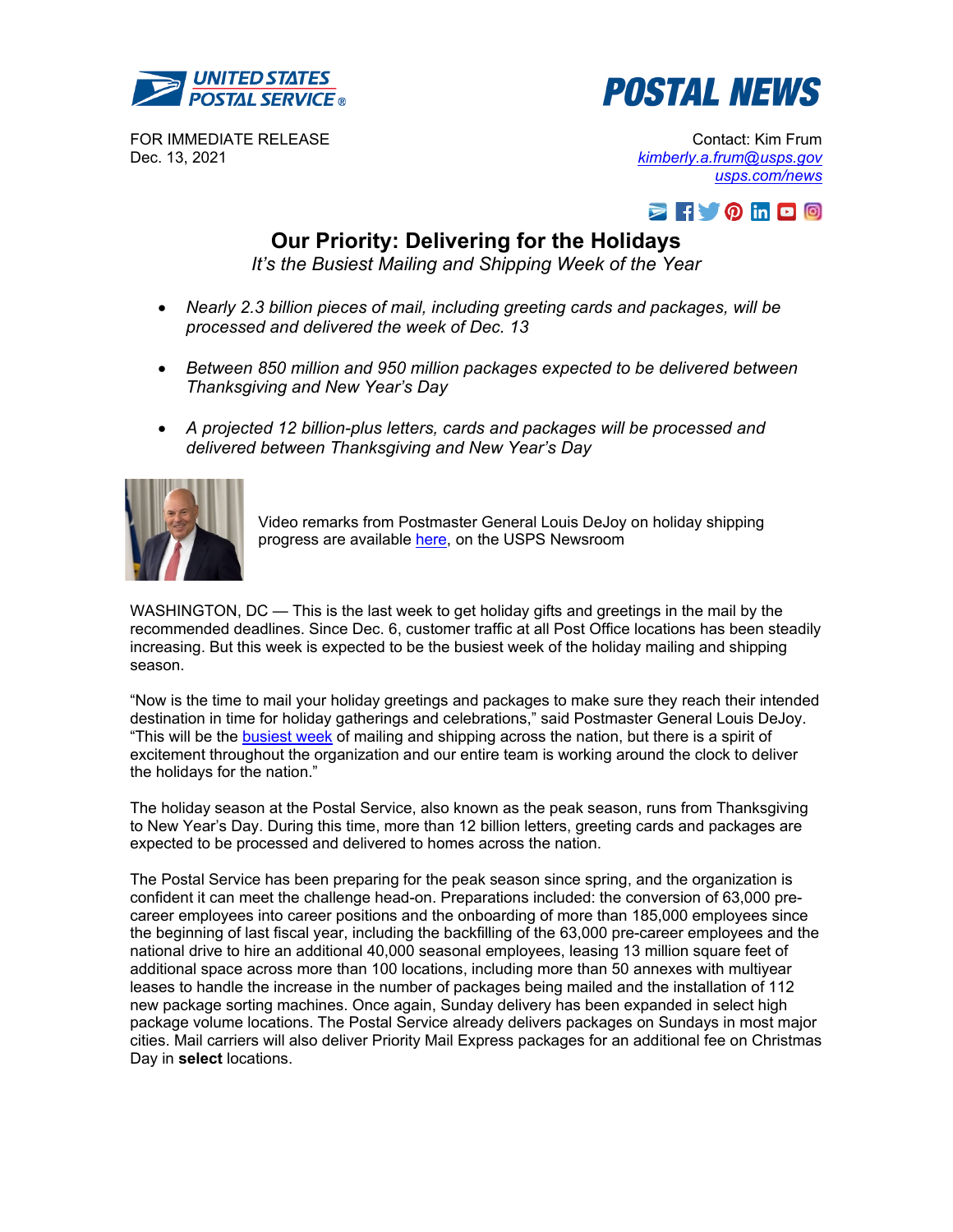



FOR IMMEDIATE RELEASE Dec. 13, 2021

Contact: Kim Frum *[kimberly.a.frum@usps.gov](mailto:kimberly.a.frum@usps.gov) [usps.com/news](http://about.usps.com/news/welcome.htm)*



# **Our Priority: Delivering for the Holidays**

*It's the Busiest Mailing and Shipping Week of the Year* 

- *Nearly 2.3 billion pieces of mail, including greeting cards and packages, will be processed and delivered the week of Dec. 13*
- *Between 850 million and 950 million packages expected to be delivered between Thanksgiving and New Year's Day*
- *A projected 12 billion-plus letters, cards and packages will be processed and delivered between Thanksgiving and New Year's Day*



Video remarks from Postmaster General Louis DeJoy on holiday shipping progress are available [here,](https://media.usps.com/videos/usps-holiday-delivery-message-2021/) on the USPS Newsroom

WASHINGTON, DC — This is the last week to get holiday gifts and greetings in the mail by the recommended deadlines. Since Dec. 6, customer traffic at all Post Office locations has been steadily increasing. But this week is expected to be the busiest week of the holiday mailing and shipping season.

"Now is the time to mail your holiday greetings and packages to make sure they reach their intended destination in time for holiday gatherings and celebrations," said Postmaster General Louis DeJoy. "This will be the **busiest week** of mailing and shipping across the nation, but there is a spirit of excitement throughout the organization and our entire team is working around the clock to deliver the holidays for the nation."

The holiday season at the Postal Service, also known as the peak season, runs from Thanksgiving to New Year's Day. During this time, more than 12 billion letters, greeting cards and packages are expected to be processed and delivered to homes across the nation.

The Postal Service has been preparing for the peak season since spring, and the organization is confident it can meet the challenge head-on. Preparations included: the conversion of 63,000 precareer employees into career positions and the onboarding of more than 185,000 employees since the beginning of last fiscal year, including the backfilling of the 63,000 pre-career employees and the national drive to hire an additional 40,000 seasonal employees, leasing 13 million square feet of additional space across more than 100 locations, including more than 50 annexes with multiyear leases to handle the increase in the number of packages being mailed and the installation of 112 new package sorting machines. Once again, Sunday delivery has been expanded in select high package volume locations. The Postal Service already delivers packages on Sundays in most major cities. Mail carriers will also deliver Priority Mail Express packages for an additional fee on Christmas Day in **select** locations.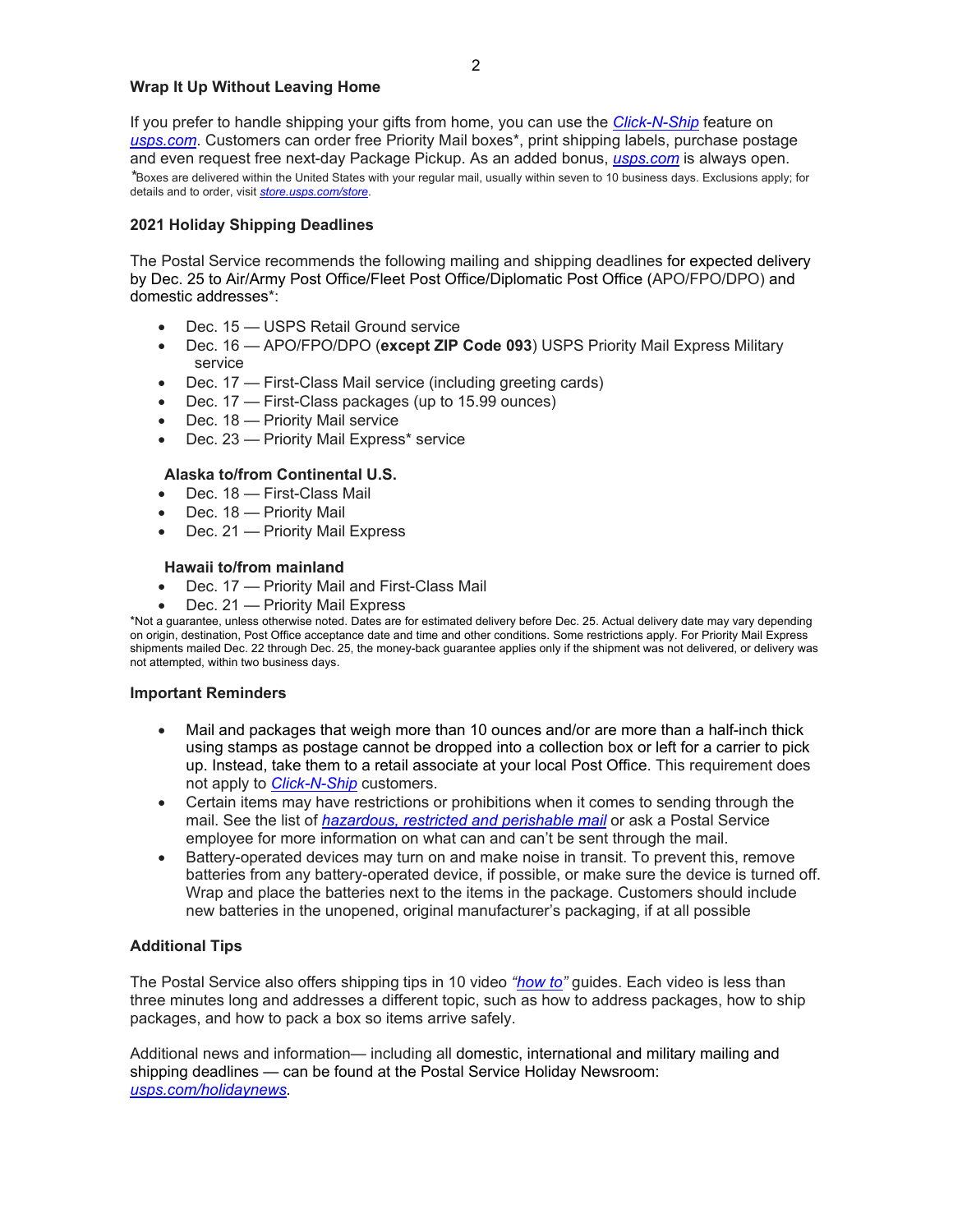## **Wrap It Up Without Leaving Home**

If you prefer to handle shipping your gifts from home, you can use the *[Click-N-Ship](https://reg.usps.com/entreg/LoginAction_input?app=GSS&appURL=https://cns.usps.com/?_gl=1*8vwcne*_gcl_aw*R0NMLjE2MzUzNjA3OTcuQ2owS0NRanc4ZU9MQmhDMUFSSXNBT3p4NWNIeDAtMnpsZGoxeGpoWWtWcktFY09JOVl0bnFoOXluMjBHX1puT2t0S2ZaN0szZkh0QWxXVWFBck9MRUFMd193Y0I.*_gcl_dc*R0NMLjE2MzUzNjA3OTcuQ2owS0NRanc4ZU9MQmhDMUFSSXNBT3p4NWNIeDAtMnpsZGoxeGpoWWtWcktFY09JOVl0bnFoOXluMjBHX1puT2t0S2ZaN0szZkh0QWxXVWFBck9MRUFMd193Y0I.*_ga*ZmFsc2U.*_ga_3NXP3C8S9V*MTYzODQ2MzU0OC41NjkuMC4xNjM4NDYzNTQ5LjA.)* feature on *[usps.com](https://www.usps.com/)*. Customers can order free Priority Mail boxes\*, print shipping labels, purchase postage and even request free next-day Package Pickup. As an added bonus, *[usps.com](https://www.usps.com/)* is always open. *\**Boxes are delivered within the United States with your regular mail, usually within seven to 10 business days. Exclusions apply; for details and to order, visit *[store.usps.com/store](https://store.usps.com/store/home)*.

## **2021 Holiday Shipping Deadlines**

The Postal Service recommends the following mailing and shipping deadlines for expected delivery by Dec. 25 to Air/Army Post Office/Fleet Post Office/Diplomatic Post Office (APO/FPO/DPO) and domestic addresses\*:

- Dec. 15 USPS Retail Ground service
- Dec. 16 APO/FPO/DPO (**except ZIP Code 093**) USPS Priority Mail Express Military service
- Dec. 17 First-Class Mail service (including greeting cards)
- Dec. 17 First-Class packages (up to 15.99 ounces)
- Dec. 18 Priority Mail service
- Dec. 23 Priority Mail Express\* service

# **Alaska to/from Continental U.S.**

- Dec. 18 First-Class Mail
- Dec. 18 Priority Mail
- Dec. 21 Priority Mail Express

#### **Hawaii to/from mainland**

- Dec. 17 Priority Mail and First-Class Mail
- Dec. 21 Priority Mail Express

\*Not a guarantee, unless otherwise noted. Dates are for estimated delivery before Dec. 25. Actual delivery date may vary depending on origin, destination, Post Office acceptance date and time and other conditions. Some restrictions apply. For Priority Mail Express shipments mailed Dec. 22 through Dec. 25, the money-back guarantee applies only if the shipment was not delivered, or delivery was not attempted, within two business days.

#### **Important Reminders**

- Mail and packages that weigh more than 10 ounces and/or are more than a half-inch thick using stamps as postage cannot be dropped into a collection box or left for a carrier to pick up. Instead, take them to a retail associate at your local Post Office. This requirement does not apply to *[Click-N-Ship](https://reg.usps.com/entreg/LoginAction_input?app=GSS&appURL=https://cns.usps.com/?_gl=1*8vwcne*_gcl_aw*R0NMLjE2MzUzNjA3OTcuQ2owS0NRanc4ZU9MQmhDMUFSSXNBT3p4NWNIeDAtMnpsZGoxeGpoWWtWcktFY09JOVl0bnFoOXluMjBHX1puT2t0S2ZaN0szZkh0QWxXVWFBck9MRUFMd193Y0I.*_gcl_dc*R0NMLjE2MzUzNjA3OTcuQ2owS0NRanc4ZU9MQmhDMUFSSXNBT3p4NWNIeDAtMnpsZGoxeGpoWWtWcktFY09JOVl0bnFoOXluMjBHX1puT2t0S2ZaN0szZkh0QWxXVWFBck9MRUFMd193Y0I.*_ga*ZmFsc2U.*_ga_3NXP3C8S9V*MTYzODQ2MzU0OC41NjkuMC4xNjM4NDYzNTQ5LjA.)* customers.
- Certain items may have restrictions or prohibitions when it comes to sending through the mail. See the list of *[hazardous, restricted and perishable mail](https://pe.usps.com/text/pub52/pub52c1_001.htm)* or ask a Postal Service employee for more information on what can and can't be sent through the mail.
- Battery-operated devices may turn on and make noise in transit. To prevent this, remove batteries from any battery-operated device, if possible, or make sure the device is turned off. Wrap and place the batteries next to the items in the package. Customers should include new batteries in the unopened, original manufacturer's packaging, if at all possible

# **Additional Tips**

The Postal Service also offers shipping tips in 10 video *["how to"](https://www.youtube.com/playlist?list=PL1NEtJgO49CVxEQebq6rvJkRE5UXeI2pM)* guides. Each video is less than three minutes long and addresses a different topic, such as how to address packages, how to ship packages, and how to pack a box so items arrive safely.

Additional news and information— including all domestic, international and military mailing and shipping deadlines — can be found at the Postal Service Holiday Newsroom: *[usps.com/holidaynews.](https://about.usps.com/holidaynews/)*